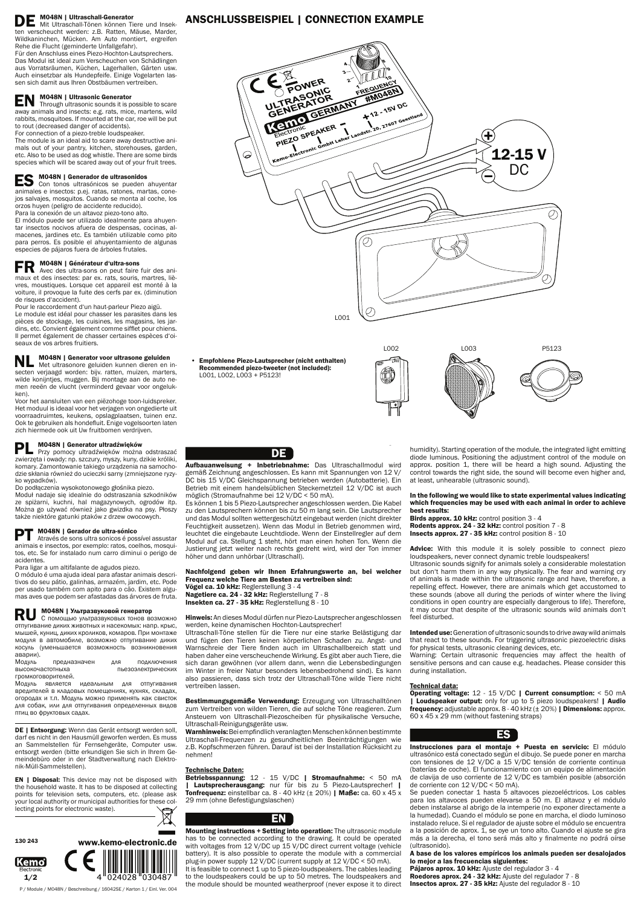DE M048N | Ultraschall-Generator Mit Ultraschall-Tönen können Tiere und Insekten verscheucht werden: z.B. Ratten, Mäuse, Marder, Wildkaninchen, Mücken. Am Auto montiert, ergreifen Rehe die Flucht (geminderte Unfallgefahr).

Für den Anschluss eines Piezo-Hochton-Lautsprechers. Das Modul ist ideal zum Verscheuchen von Schädlingen aus Vorratsräumen, Küchen, Lagerhallen, Gärten usw. Auch einsetzbar als Hundepfeife. Einige Vogelarten lassen sich damit aus Ihren Obstbäumen vertreiben.

# EN M048N | Ultrasonic Generator

Through ultrasonic sounds it is possible to scare away animals and insects: e.g. rats, mice, martens, wild rabbits, mosquitoes. If mounted at the car, roe will be put to rout (decreased danger of accidents).

For connection of a piezo-treble loudspeaker.

The module is an ideal aid to scare away destructive animals out of your pantry, kitchen, storehouses, garden, etc. Also to be used as dog whistle. There are some birds species which will be scared away out of your fruit trees.

ES M048N | Generador de ultrasonidos Con tonos ultrasónicos se pueden ahuyentar animales e insectos: p.ej. ratas, ratones, martas, conejos salvajes, mosquitos. Cuando se monta al coche, los orzos huyen (peligro de accidente reducido). Para la conexión de un altavoz piezo-tono alto.

**NL M048N | Generator voor ultrasone geluiden** Met ultrasonore geluiden kunnen dieren en insecten verjaagd worden: bijv. ratten, muizen, marters, wilde konijntjes, muggen. Bij montage aan de auto nemen reeën de vlucht (verminderd gevaar voor ongelukken).

El módulo puede ser utilizado idealmente para ahuyentar insectos nocivos afuera de despensas, cocinas, almacenes, jardines etc. Es también utilizable como pito para perros. Es posible el ahuyentamiento de algunas especies de pájaros fuera de árboles frutales.

FR M048N | Générateur d'ultra-sons Avec des ultra-sons on peut faire fuir des animaux et des insectes: par ex. rats, souris, martres, lièvres, moustiques. Lorsque cet appareil est monté à la voiture, il provoque la fuite des cerfs par ex. (diminution de risques d'accident).

**RU МО48N | Ультразвуковой генератор**<br>С помощью ультразвуковых тонов возможно отпугивание диких животных и насекомых: напр. крыс, мышей, куниц, диких кроликов, комаров. При монтаже модуля в автомобиле, возможно отпугивание диких косуль (уменьшается возможность возникновения аварии).

Pour le raccordement d'un haut-parleur Piezo aigü. Le module est idéal pour chasser les parasites dans les pièces de stockage, les cuisines, les magasins, les jardins, etc. Convient également comme sifflet pour chiens. Il permet également de chasser certaines espèces d'oiseaux de vos arbres fruitiers.

Модуль предназначен для подключения<br>высокочастотныха пьезоэлектрических пьезоэлектрических громкоговорителей.

Voor het aansluiten van een piëzohoge toon-luidspreker. Het moduul is ideaal voor het verjagen von ongedierte uit voorraadruimtes, keukens, opslagplaatsen, tuinen enz. Ook te gebruiken als hondefluit. Enige vogelsoorten laten zich hiermede ook uit Uw fruitbomen verdrijven.

Hinweis: An dieses Modul dürfen nur Piezo-Lautsprecher angeschlossen werden, keine dynamischen Hochton-Lautsprecher!

PL M048N | Generator ultradźwięków Przy pomocy ultradźwięków można odstraszać zwierzęta i owady: np. szczury, myszy, kuny, dzikie króliki, komary. Zamontowanie takiego urządzenia na samochodzie skłania również do ucieczki sarny (zmniejszone ryzyko wypadków).

Do podłączenia wysokotonowego głośnika piezo.

Moduł nadaje się idealnie do odstraszania szkodników ze spiżarni, kuchni, hal magazynowych, ogrodów itp. Można go używać również jako gwizdka na psy. Płoszy także niektóre gatunki ptaków z drzew owocowych.

## M048N | Gerador de ultra-sónico

Bestimmungsgemäße Verwendung: Erzeugung von Ultraschalltönen zum Vertreiben von wilden Tieren, die auf solche Töne reagieren. Zum Ansteuern von Ultraschall-Piezoscheiben für physikalische Versuche, Ultraschall-Reinigungsgeräte usw.

Através de sons ultra sonicos é possível assustar animais e insectos, por exemplo: ratos, coelhos, mosquitos, etc. Se for instalado num carro diminui o perigo de acidentes.

> Betriebsspannung: 12 - 15 V/DC | Stromaufnahme: < 50 mA | Lautsprecherausgang: nur für bis zu 5 Piezo-Lautsprecher! | Tonfrequenz: einstellbar ca.  $8 - 40$  kHz ( $\pm$  20%) | Maße: ca. 60 x 45 x 29 mm (ohne Befestigungslaschen)

Para ligar a um altifalante de agudos piezo.

O módulo é uma ajuda ideal para afastar animais descritivos do seu pátio, galinhas, armazém, jardim, etc. Pode per usado também com apito para o cão. Existem algumas aves que podem ser afastadas das árvores de fruta.

DE | Entsorgung: Wenn das Gerät entsorgt werden soll, darf es nicht in den Hausmüll geworfen werden. Es muss an Sammelstellen für Fernsehgeräte, Computer usw. entsorgt werden (bitte erkundigen Sie sich in Ihrem Gemeindebüro oder in der Stadtverwaltung nach Elektronik-Müll-Sammelstellen).

**EN** | Disposal: This device may not be disposed with the household waste. It has to be disposed at collecting points for television sets, computers, etc. (please ask your local authority or municipal authorities for these collecting points for electronic waste).

Модуль является идеальным для отпугивания вредителей в кладовых помещениях, кухнях, складах, огородах и т.п. Модуль можно применять как свисток для собак, или для отпугивания определенных видов птиц во фруктовых садах.



Advice: With this module it is solely possible to connect piezo loudspeakers, never connect dynamic treble loudspeakers!

P / Module / M048N / Beschreibung / 16042SE / Karton 1 / Einl. Ver. 004

## DE

Aufbauanweisung + Inbetriebnahme: Das Ultraschallmodul wird gemäß Zeichnung angeschlossen. Es kann mit Spannungen von 12 V/ DC bis 15 V/DC Gleichspannung betrieben werden (Autobatterie). Ein Betrieb mit einem handelsüblichen Steckernetzteil 12 V/DC ist auch möglich (Stromaufnahme bei 12 V/DC < 50 mA).

Es können 1 bis 5 Piezo-Lautsprecher angeschlossen werden. Die Kabel zu den Lautsprechern können bis zu 50 m lang sein. Die Lautsprecher und das Modul sollten wettergeschützt eingebaut werden (nicht direkter Feuchtigkeit aussetzen). Wenn das Modul in Betrieb genommen wird, leuchtet die eingebaute Leuchtdiode. Wenn der Einstellregler auf dem Modul auf ca. Stellung 1 steht, hört man einen hohen Ton. Wenn die Justierung jetzt weiter nach rechts gedreht wird, wird der Ton immer höher und dann unhörbar (Ultraschall).

> Instrucciones para el montaje + Puesta en servicio: El módulo ultrasónico está conectado según el dibujo. Se puede poner en marcha con tensiones de 12 V/DC a 15 V/DC tensión de corriente continua (baterías de coche). El funcionamiento con un equipo de alimentación de clavija de uso corriente de 12 V/DC es también posible (absorción de corriente con 12 V/DC < 50 mA).

Nachfolgend geben wir Ihnen Erfahrungswerte an, bei welcher Frequenz welche Tiere am Besten zu vertreiben sind: Vögel ca. 10 kHz: Reglerstellung 3 - 4 Nagetiere ca. 24 - 32 kHz: Reglerstellung 7 - 8 Insekten ca. 27 - 35 kHz: Reglerstellung 8 - 10

Ultraschall-Töne stellen für die Tiere nur eine starke Belästigung dar und fügen den Tieren keinen körperlichen Schaden zu. Angst- und Warnschreie der Tiere finden auch im Ultraschallbereich statt und haben daher eine verscheuchende Wirkung. Es gibt aber auch Tiere, die sich daran gewöhnen (vor allem dann, wenn die Lebensbedingungen im Winter in freier Natur besonders lebensbedrohend sind). Es kann also passieren, dass sich trotz der Ultraschall-Töne wilde Tiere nicht

vertreiben lassen.

Warnhinweis: Bei empfindlich veranlagten Menschen können bestimmte Ultraschall-Frequenzen zu gesundheitlichen Beeinträchtigungen wie z.B. Kopfschmerzen führen. Darauf ist bei der Installation Rücksicht zu nehmen!

#### Technische Daten:



Mounting instructions + Setting into operation: The ultrasonic module has to be connected according to the drawing. It could be operated with voltages from 12 V/DC up 15 V/DC direct current voltage (vehicle battery). It is also possible to operate the module with a commercial plug-in power supply 12 V/DC (current supply at 12 V/DC < 50 mA). It is feasible to connect 1 up to 5 piezo-loudspeakers. The cables leading to the loudspeakers could be up to 50 metres. The loudspeakers and the module should be mounted weatherproof (never expose it to direct

#### <u>Technical data:</u>

humidity). Starting operation of the module, the integrated light emitting diode luminous. Positioning the adjustment control of the module on approx. position 1, there will be heard a high sound. Adjusting the control towards the right side, the sound will become even higher and, at least, unhearable (ultrasonic sound).

### In the following we would like to state experimental values indicating which frequencies may be used with each animal in order to achieve best results:

Birds approx. 10 kHz: control position 3 - 4 Rodents approx. 24 - 32 kHz: control position 7 - 8 Insects approx. 27 - 35 kHz: control position 8 - 10

Ultrasonic sounds signify for animals solely a considerable molestation but don't harm them in any way physically. The fear and warning cry of animals is made within the ultrasonic range and have, therefore, a repelling effect. However, there are animals which get accustomed to these sounds (above all during the periods of winter where the living conditions in open country are especially dangerous to life). Therefore, it may occur that despite of the ultrasonic sounds wild animals don't feel disturbed.

Intended use: Generation of ultrasonic sounds to drive away wild animals that react to these sounds. For triggering ultrasonic piezoelectric disks for physical tests, ultrasonic cleaning devices, etc.

Warning: Certain ultrasonic frequencies may affect the health of sensitive persons and can cause e.g. headaches. Please consider this during installation.

Operating voltage: 12 - 15 V/DC | Current consumption: < 50 mA | Loudspeaker output: only for up to 5 piezo loudspeakers! | Audio frequency: adjustable approx. 8 - 40 kHz (± 20%) | Dimensions: approx. 60 x 45 x 29 mm (without fastening straps)



Se pueden conectar 1 hasta 5 altavoces piezoeléctricos. Los cables para los altavoces pueden elevarse a 50 m. El altavoz y el módulo deben instalarse al abrigo de la intemperie (no exponer directamente a la humedad). Cuando el módulo se pone en marcha, el diodo luminoso instalado reluce. Si el regulador de ajuste sobre el módulo se encuentra a la posición de aprox. 1, se oye un tono alto. Cuando el ajuste se gira más a la derecha, el tono será más alto y finalmente no podrá oírse (ultrasonido).

A base de los valores empíricos los animals pueden ser desalojados lo mejor a las frecuencias siguientes:

Pájaros aprox. 10 kHz: Ajuste del regulador 3 - 4

Roedores aprox. 24 - 32 kHz: Ajuste del regulador 7 - 8

Insectos aprox. 27 - 35 kHz: Ajuste del regulador 8 - 10

# ANSCHLUSSBEISPIEL | CONNECTION EXAMPLE